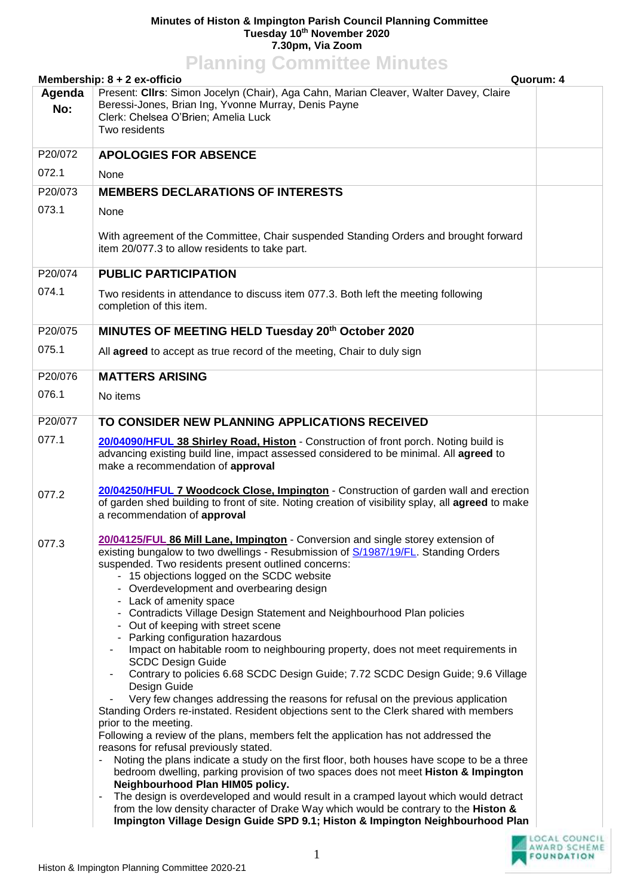## **Minutes of Histon & Impington Parish Council Planning Committee Tuesday 10th November 2020 7.30pm, Via Zoom**

## **Planning Committee Minutes**

|               | Quorum: 4<br>Membership: $8 + 2$ ex-officio                                                                                                                                                                                                                                                                                                                                                                                                                                                                                                                                                                                                                                                                                                                                                                                                                                                                                                                                                                                                                                                                                                                                                                                                                                                                                                                                                                                                                                                                                                                |  |  |
|---------------|------------------------------------------------------------------------------------------------------------------------------------------------------------------------------------------------------------------------------------------------------------------------------------------------------------------------------------------------------------------------------------------------------------------------------------------------------------------------------------------------------------------------------------------------------------------------------------------------------------------------------------------------------------------------------------------------------------------------------------------------------------------------------------------------------------------------------------------------------------------------------------------------------------------------------------------------------------------------------------------------------------------------------------------------------------------------------------------------------------------------------------------------------------------------------------------------------------------------------------------------------------------------------------------------------------------------------------------------------------------------------------------------------------------------------------------------------------------------------------------------------------------------------------------------------------|--|--|
| Agenda<br>No: | Present: Clirs: Simon Jocelyn (Chair), Aga Cahn, Marian Cleaver, Walter Davey, Claire<br>Beressi-Jones, Brian Ing, Yvonne Murray, Denis Payne<br>Clerk: Chelsea O'Brien; Amelia Luck<br>Two residents                                                                                                                                                                                                                                                                                                                                                                                                                                                                                                                                                                                                                                                                                                                                                                                                                                                                                                                                                                                                                                                                                                                                                                                                                                                                                                                                                      |  |  |
| P20/072       | <b>APOLOGIES FOR ABSENCE</b>                                                                                                                                                                                                                                                                                                                                                                                                                                                                                                                                                                                                                                                                                                                                                                                                                                                                                                                                                                                                                                                                                                                                                                                                                                                                                                                                                                                                                                                                                                                               |  |  |
| 072.1         | None                                                                                                                                                                                                                                                                                                                                                                                                                                                                                                                                                                                                                                                                                                                                                                                                                                                                                                                                                                                                                                                                                                                                                                                                                                                                                                                                                                                                                                                                                                                                                       |  |  |
| P20/073       | <b>MEMBERS DECLARATIONS OF INTERESTS</b>                                                                                                                                                                                                                                                                                                                                                                                                                                                                                                                                                                                                                                                                                                                                                                                                                                                                                                                                                                                                                                                                                                                                                                                                                                                                                                                                                                                                                                                                                                                   |  |  |
| 073.1         | None                                                                                                                                                                                                                                                                                                                                                                                                                                                                                                                                                                                                                                                                                                                                                                                                                                                                                                                                                                                                                                                                                                                                                                                                                                                                                                                                                                                                                                                                                                                                                       |  |  |
|               | With agreement of the Committee, Chair suspended Standing Orders and brought forward<br>item 20/077.3 to allow residents to take part.                                                                                                                                                                                                                                                                                                                                                                                                                                                                                                                                                                                                                                                                                                                                                                                                                                                                                                                                                                                                                                                                                                                                                                                                                                                                                                                                                                                                                     |  |  |
| P20/074       | <b>PUBLIC PARTICIPATION</b>                                                                                                                                                                                                                                                                                                                                                                                                                                                                                                                                                                                                                                                                                                                                                                                                                                                                                                                                                                                                                                                                                                                                                                                                                                                                                                                                                                                                                                                                                                                                |  |  |
| 074.1         | Two residents in attendance to discuss item 077.3. Both left the meeting following<br>completion of this item.                                                                                                                                                                                                                                                                                                                                                                                                                                                                                                                                                                                                                                                                                                                                                                                                                                                                                                                                                                                                                                                                                                                                                                                                                                                                                                                                                                                                                                             |  |  |
| P20/075       | MINUTES OF MEETING HELD Tuesday 20 <sup>th</sup> October 2020                                                                                                                                                                                                                                                                                                                                                                                                                                                                                                                                                                                                                                                                                                                                                                                                                                                                                                                                                                                                                                                                                                                                                                                                                                                                                                                                                                                                                                                                                              |  |  |
| 075.1         | All agreed to accept as true record of the meeting, Chair to duly sign                                                                                                                                                                                                                                                                                                                                                                                                                                                                                                                                                                                                                                                                                                                                                                                                                                                                                                                                                                                                                                                                                                                                                                                                                                                                                                                                                                                                                                                                                     |  |  |
| P20/076       | <b>MATTERS ARISING</b>                                                                                                                                                                                                                                                                                                                                                                                                                                                                                                                                                                                                                                                                                                                                                                                                                                                                                                                                                                                                                                                                                                                                                                                                                                                                                                                                                                                                                                                                                                                                     |  |  |
| 076.1         | No items                                                                                                                                                                                                                                                                                                                                                                                                                                                                                                                                                                                                                                                                                                                                                                                                                                                                                                                                                                                                                                                                                                                                                                                                                                                                                                                                                                                                                                                                                                                                                   |  |  |
| P20/077       | TO CONSIDER NEW PLANNING APPLICATIONS RECEIVED                                                                                                                                                                                                                                                                                                                                                                                                                                                                                                                                                                                                                                                                                                                                                                                                                                                                                                                                                                                                                                                                                                                                                                                                                                                                                                                                                                                                                                                                                                             |  |  |
| 077.1         | 20/04090/HFUL 38 Shirley Road, Histon - Construction of front porch. Noting build is<br>advancing existing build line, impact assessed considered to be minimal. All agreed to<br>make a recommendation of approval                                                                                                                                                                                                                                                                                                                                                                                                                                                                                                                                                                                                                                                                                                                                                                                                                                                                                                                                                                                                                                                                                                                                                                                                                                                                                                                                        |  |  |
| 077.2         | 20/04250/HFUL 7 Woodcock Close, Impington - Construction of garden wall and erection<br>of garden shed building to front of site. Noting creation of visibility splay, all agreed to make<br>a recommendation of approval                                                                                                                                                                                                                                                                                                                                                                                                                                                                                                                                                                                                                                                                                                                                                                                                                                                                                                                                                                                                                                                                                                                                                                                                                                                                                                                                  |  |  |
| 077.3         | 20/04125/FUL 86 Mill Lane, Impington - Conversion and single storey extension of<br>existing bungalow to two dwellings - Resubmission of S/1987/19/FL. Standing Orders<br>suspended. Two residents present outlined concerns:<br>- 15 objections logged on the SCDC website<br>- Overdevelopment and overbearing design<br>- Lack of amenity space<br>- Contradicts Village Design Statement and Neighbourhood Plan policies<br>- Out of keeping with street scene<br>- Parking configuration hazardous<br>Impact on habitable room to neighbouring property, does not meet requirements in<br><b>SCDC Design Guide</b><br>Contrary to policies 6.68 SCDC Design Guide; 7.72 SCDC Design Guide; 9.6 Village<br>Design Guide<br>Very few changes addressing the reasons for refusal on the previous application<br>Standing Orders re-instated. Resident objections sent to the Clerk shared with members<br>prior to the meeting.<br>Following a review of the plans, members felt the application has not addressed the<br>reasons for refusal previously stated.<br>Noting the plans indicate a study on the first floor, both houses have scope to be a three<br>bedroom dwelling, parking provision of two spaces does not meet Histon & Impington<br>Neighbourhood Plan HIM05 policy.<br>The design is overdeveloped and would result in a cramped layout which would detract<br>from the low density character of Drake Way which would be contrary to the Histon &<br>Impington Village Design Guide SPD 9.1; Histon & Impington Neighbourhood Plan |  |  |
|               | 1                                                                                                                                                                                                                                                                                                                                                                                                                                                                                                                                                                                                                                                                                                                                                                                                                                                                                                                                                                                                                                                                                                                                                                                                                                                                                                                                                                                                                                                                                                                                                          |  |  |